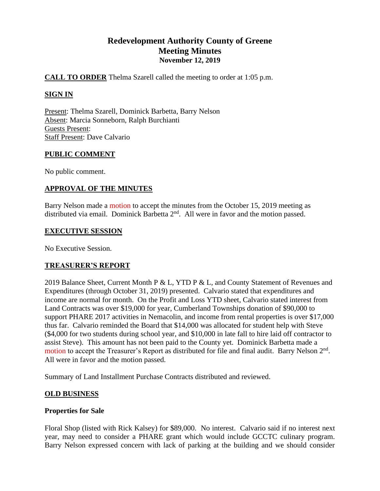# **Redevelopment Authority County of Greene Meeting Minutes November 12, 2019**

## **CALL TO ORDER** Thelma Szarell called the meeting to order at 1:05 p.m.

# **SIGN IN**

Present: Thelma Szarell, Dominick Barbetta, Barry Nelson Absent: Marcia Sonneborn, Ralph Burchianti Guests Present: Staff Present: Dave Calvario

## **PUBLIC COMMENT**

No public comment.

## **APPROVAL OF THE MINUTES**

Barry Nelson made a motion to accept the minutes from the October 15, 2019 meeting as distributed via email. Dominick Barbetta  $2<sup>nd</sup>$ . All were in favor and the motion passed.

#### **EXECUTIVE SESSION**

No Executive Session.

## **TREASURER'S REPORT**

2019 Balance Sheet, Current Month P & L, YTD P & L, and County Statement of Revenues and Expenditures (through October 31, 2019) presented. Calvario stated that expenditures and income are normal for month. On the Profit and Loss YTD sheet, Calvario stated interest from Land Contracts was over \$19,000 for year, Cumberland Townships donation of \$90,000 to support PHARE 2017 activities in Nemacolin, and income from rental properties is over \$17,000 thus far. Calvario reminded the Board that \$14,000 was allocated for student help with Steve (\$4,000 for two students during school year, and \$10,000 in late fall to hire laid off contractor to assist Steve). This amount has not been paid to the County yet. Dominick Barbetta made a motion to accept the Treasurer's Report as distributed for file and final audit. Barry Nelson  $2<sup>nd</sup>$ . All were in favor and the motion passed.

Summary of Land Installment Purchase Contracts distributed and reviewed.

## **OLD BUSINESS**

## **Properties for Sale**

Floral Shop (listed with Rick Kalsey) for \$89,000. No interest. Calvario said if no interest next year, may need to consider a PHARE grant which would include GCCTC culinary program. Barry Nelson expressed concern with lack of parking at the building and we should consider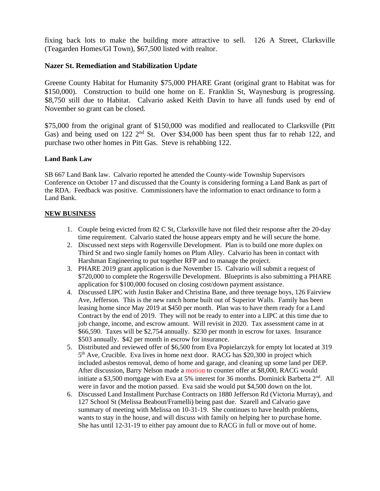fixing back lots to make the building more attractive to sell. 126 A Street, Clarksville (Teagarden Homes/GI Town), \$67,500 listed with realtor.

## **Nazer St. Remediation and Stabilization Update**

Greene County Habitat for Humanity \$75,000 PHARE Grant (original grant to Habitat was for \$150,000). Construction to build one home on E. Franklin St, Waynesburg is progressing. \$8,750 still due to Habitat. Calvario asked Keith Davin to have all funds used by end of November so grant can be closed.

\$75,000 from the original grant of \$150,000 was modified and reallocated to Clarksville (Pitt Gas) and being used on 122 2<sup>nd</sup> St. Over \$34,000 has been spent thus far to rehab 122, and purchase two other homes in Pitt Gas. Steve is rehabbing 122.

#### **Land Bank Law**

SB 667 Land Bank law. Calvario reported he attended the County-wide Township Supervisors Conference on October 17 and discussed that the County is considering forming a Land Bank as part of the RDA. Feedback was positive. Commissioners have the information to enact ordinance to form a Land Bank.

#### **NEW BUSINESS**

- 1. Couple being evicted from 82 C St, Clarksville have not filed their response after the 20-day time requirement. Calvario stated the house appears empty and he will secure the home.
- 2. Discussed next steps with Rogersville Development. Plan is to build one more duplex on Third St and two single family homes on Plum Alley. Calvario has been in contact with Harshman Engineering to put together RFP and to manage the project.
- 3. PHARE 2019 grant application is due November 15. Calvario will submit a request of \$720,000 to complete the Rogersville Development. Blueprints is also submitting a PHARE application for \$100,000 focused on closing cost/down payment assistance.
- 4. Discussed LIPC with Justin Baker and Christina Bane, and three teenage boys, 126 Fairview Ave, Jefferson. This is the new ranch home built out of Superior Walls. Family has been leasing home since May 2019 at \$450 per month. Plan was to have them ready for a Land Contract by the end of 2019. They will not be ready to enter into a LIPC at this time due to job change, income, and escrow amount. Will revisit in 2020. Tax assessment came in at \$66,590. Taxes will be \$2,754 annually. \$230 per month in escrow for taxes. Insurance \$503 annually. \$42 per month in escrow for insurance.
- 5. Distributed and reviewed offer of \$6,500 from Eva Popielarczyk for empty lot located at 319 5<sup>th</sup> Ave, Crucible. Eva lives in home next door. RACG has \$20,300 in project which included asbestos removal, demo of home and garage, and cleaning up some land per DEP. After discussion, Barry Nelson made a motion to counter offer at \$8,000, RACG would initiate a \$3,500 mortgage with Eva at 5% interest for 36 months. Dominick Barbetta  $2<sup>nd</sup>$ . All were in favor and the motion passed. Eva said she would put \$4,500 down on the lot.
- 6. Discussed Land Installment Purchase Contracts on 1880 Jefferson Rd (Victoria Murray), and 127 School St (Melissa Beabout/Framelli) being past due. Szarell and Calvario gave summary of meeting with Melissa on 10-31-19. She continues to have health problems, wants to stay in the house, and will discuss with family on helping her to purchase home. She has until 12-31-19 to either pay amount due to RACG in full or move out of home.